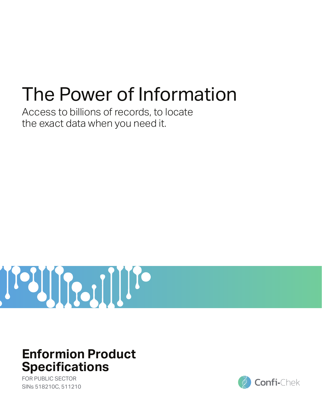# The Power of Information

Access to billions of records, to locate the exact data when you need it.



## **Enformion Product Specifications**

FOR PUBLIC SECTOR SINs 518210C, 511210

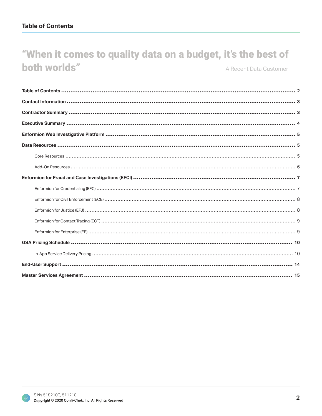## "When it comes to quality data on a budget, it's the best of both worlds" - A Recent Data Customer

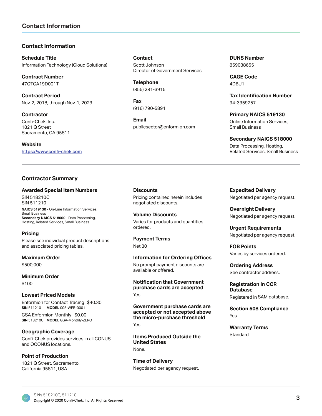## **Contact Information**

#### **Contact Information**

**Schedule Title** Information Technology (Cloud Solutions)

**Contract Number** 47QTCA19D001T

**Contract Period** Nov. 2, 2018, through Nov. 1, 2023

**Contractor** Confi-Chek, Inc. 1821 Q Street Sacramento, CA 95811

**Website** https://www.confi-chek.com

#### **Contractor Summary**

#### **Awarded Special Item Numbers**

SIN 518210C SIN 511210

NAICS 519130 - On-Line Information Services, Small Business **Secondary NAICS 518000 - Data Processing,** Hosting, Related Services, Small Business

#### **Pricing**

Please see individual product descriptions and associated pricing tables.

**Maximum Order** \$500,000

**Minimum Order** \$100

#### **Lowest Priced Models**

**SIN** 511210 **MODEL** 005-WEB-0001 Enformion for Contact Tracing \$40.30

**SIN** 518210C **MODEL** GSA-Monthly-ZERO GSA Enformion Monthly \$0.00

**Geographic Coverage** Confi-Chek provides services in all CONUS and OCONUS locations.

**Point of Production**

1821 Q Street, Sacramento, California 95811, USA

**Contact** Scott Johnson Director of Government Services

**Telephone** (855) 281-3915

**Fax** (916) 790-5891

**Email** publicsector@enformion.com **DUNS Number** 859038655

**CAGE Code** 4DBU1

**Tax Identification Number** 94-3359257

**Primary NAICS 519130** Online Information Services, Small Business

**Secondary NAICS 518000** Data Processing, Hosting, Related Services, Small Business

**Discounts** Pricing contained herein includes negotiated discounts.

**Volume Discounts** Varies for products and quantities ordered.

**Payment Terms** Net 30

**Information for Ordering Offices** No prompt payment discounts are available or offered.

**Notification that Government** purchase cards are accepted Yes.

**Government purchase cards are** accepted or not accepted above the micro-purchase threshold Yes.

**Items Produced Outside the United States** None.

**Time of Delivery** Negotiated per agency request. **Expedited Delivery** Negotiated per agency request.

**2YHzvarright Delivery** Negotiated per agency request.

**Urgent Requirements** Negotiated per agency request.

**FOB Points** Varies by services ordered.

**2**UGHunda Address See contractor address.

**Registration In CCR** Database

Registered in SAM database.

**Section 508 Compliance** Yes.

**Warranty Terms Standard** 

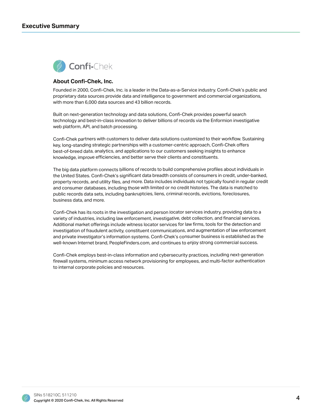

#### **About Confi-Chek, Inc.**

Founded in 2000, Confi-Chek, Inc. is a leader in the Data-as-a-Service industry. Confi-Chek's public and proprietary data sources provide data and intelligence to government and commercial organizations, with more than 6,000 data sources and 43 billion records.

Built on next-generation technology and data solutions, Confi-Chek provides powerful search technology and best-in-class innovation to deliver billions of records via the Enformion investigative web platform, API, and batch processing.

Confi-Chek partners with customers to deliver data solutions customized to their workflow. Sustaining key, long-standing strategic partnerships with a customer-centric approach, Confi-Chek offers best-of-breed data, analytics, and applications to our customers seeking insights to enhance knowledge, improve efficiencies, and better serve their clients and constituents.

The big data platform connects billions of records to build comprehensive profiles about individuals in the United States. Confi-Chek's significant data breadth consists of consumers in credit, under-banked, property records, and utility files, and more. Data includes individuals not typically found in regular credit and consumer databases, including those with limited or no credit histories. The data is matched to public records data sets, including bankruptcies, liens, criminal records, evictions, foreclosures, business data, and more.

Confi-Chek has its roots in the investigation and person locator services industry, providing data to a variety of industries, including law enforcement, investigative, debt collection, and financial services. Additional market offerings include witness locator services for law firms, tools for the detection and investigation of fraudulent activity, constituent communications, and augmentation of law enforcement and private investigator's information systems. Confi-Chek's consumer business is established as the well-known Internet brand, PeopleFinders.com, and continues to enjoy strong commercial success.

Confi-Chek employs best-in-class information and cybersecurity practices, including next-generation firewall systems, minimum access network provisioning for employees, and multi-factor authentication to internal corporate policies and resources.

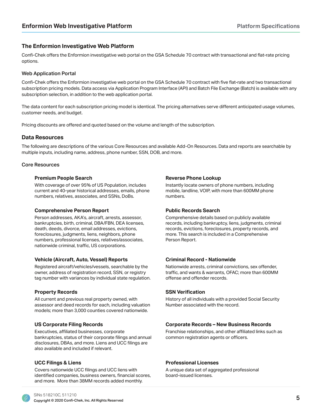### **The Enformion Investigative Web Platform**

Confi-Chek offers the Enformion investigative web portal on the GSA Schedule 70 contract with transactional and flat-rate pricing options.

#### Web Application Portal

Confi-Chek offers the Enformion investigative web portal on the GSA Schedule 70 contract with five flat-rate and two transactional subscription pricing models. Data access via Application Program Interface (API) and Batch File Exchange (Batch) is available with any subscription selection, in addition to the web application portal.

The data content for each subscription pricing model is identical. The pricing alternatives serve different anticipated usage volumes, customer needs, and budget.

Pricing discounts are offered and quoted based on the volume and length of the subscription.

#### Data Resources

The following are descriptions of the various Core Resources and available Add-On Resources. Data and reports are searchable by multiple inputs, including name, address, phone number, SSN, DOB, and more.

#### Core Resources

#### **3UHPLANDIG STATES IN A SUBSET OF STATES IN A SUBSET OF STATES IN A SUBSET OF STATES IN A SUBSET OF STATES IN A SUBSET OF STATES IN A SUBSET OF STATES IN A SUBSET OF STATES IN A SUBSET OF STATES IN A SUBSET OF STATES IN A**

With coverage of over 95% of US Population, includes current and 40-year historical addresses, emails, phone numbers, relatives, associates, and SSNs, DoBs.

#### **Comprehensive Person Report**

Person addresses, AKA's, aircraft, arrests, assessor, bankruptcies, birth, criminal, DBA/FBN, DEA licenses, death, deeds, divorce, email addresses, evictions, foreclosures, judgments, liens, neighbors, phone numbers, professional licenses, relatives/associates, nationwide criminal, traffic, US corporations.

#### **Vehicle (Aircraft, Auto, Vessel) Reports <b>8. Criminal Record - Nationwide**

Registered aircraft/vehicles/vessels, searchable by the owner, address of registration record, SSN, or registry tag number with variances by individual state regulation.

#### **Property Records**

All current and previous real property owned, with assessor and deed records for each, including valuation models: more than 3,000 counties covered nationwide.

Executives, affiliated businesses, corporate bankruptcies, status of their corporate filings and annual disclosures, DBAs, and more. Liens and UCC filings are also available and included if relevant.

Covers nationwide UCC filings and UCC liens with identified companies, business owners, financial scores, and more. More than 38MM records added monthly.

Instantly locate owners of phone numbers, including mobile, landline, VOIP, with more than 600MM phone numbers.

#### **Public Records Search**

Comprehensive details based on publicly available records, including bankruptcy, liens, judgments, criminal records, evictions, foreclosures, property records, and more. This search is included in a Comprehensive Person Report.

Nationwide arrests, criminal convictions, sex offender, traffic, and wants & warrants, OFAC; more than 600MM offense and offender records.

#### **SSN Verification**

History of all individuals with a provided Social Security Number associated with the record.

#### US Corporate Filing Records **86 and 1998 Corporate Records** - New Business Records

Franchise relationships, and other affiliated links such as common registration agents or officers.

#### **8. By COLORGIA III STATES AND RESERVE ASSESSED TO Professional Licenses and DVCC Filings & Liens**

A unique data set of aggregated professional board-issued licenses.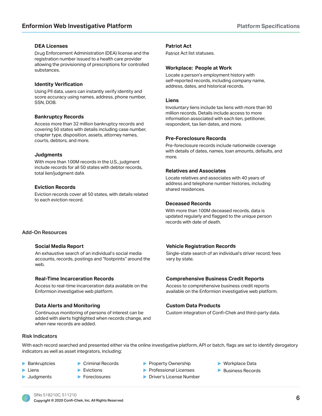#### **DEA Licenses**

Drug Enforcement Administration (DEA) license and the Patriot Act list statuses. registration number issued to a health care provider allowing the provisioning of prescriptions for controlled substances.

#### **Identity Verification**

Using PII data, users can instantly verify identity and score accuracy using names, address, phone number, SSN, DOB.

#### **Bankruptcy Records**

Access more than 32 million bankruptcy records and covering 50 states with details including case number, chapter type, disposition, assets, attorney names, courts, debtors, and more.

#### **Judgments**

With more than 100M records in the U.S., judgment include records for all 50 states with debtor records, total lien/judgment data.

#### **Eviction Records**

Eviction records cover all 50 states, with details related to each eviction record.

#### Add-On Resources

An exhaustive search of an individual's social media accounts, records, postings and "footprints" around the web.

#### **Real-Time Incarceration Records**

Access to real-time incarceration data available on the Enformion investigative web platform.

#### **Data Alerts and Monitoring the Custom Data Products Custom Data Products**

Continuous monitoring of persons of interest can be added with alerts highlighted when records change, and when new records are added.

#### **Patriot Act**

#### **Workplace: People at Work**

Locate a person's employment history with self-reported records, including company name, address, dates, and historical records.

#### **Liens**

Involuntary liens include tax liens with more than 90 million records. Details include access to more information associated with each lien, petitioner, respondent, tax lien dates, and more.

#### **Pre-Foreclosure Records**

Pre-foreclosure records include nationwide coverage with details of dates, names, loan amounts, defaults, and more.

#### **Relatives and Associates**

Locate relatives and associates with 40 years of address and telephone number histories, including shared residences.

#### **Deceased Records**

With more than 100M deceased records, data is updated regularly and flagged to the unique person records with date of death.

#### **6** Social Media Report **18 August 2015** 1996 **19Hz Vehicle Registration Records**

Single-state search of an individual's driver record; fees vary by state.

#### **Comprehensive Business Credit Reports**

Access to comprehensive business credit reports available on the Enformion investigative web platform.

Custom integration of Confi-Chek and third-party data.

#### **Risk Indicators**

With each record searched and presented either via the online investigative platform, API or batch, flags are set to identify derogatory indicators as well as asset integrators, including:

- $\blacktriangleright$  Bankruptcies
- ▶ Criminal Records
- $\blacktriangleright$  Liens **Judgments**
- $\blacktriangleright$  Evictions
- **Foreclosures**
- **Property Ownership**
- **Professional Licenses**
- **Driver's License Number**
- $\blacktriangleright$  Workplace Data
- **Business Records**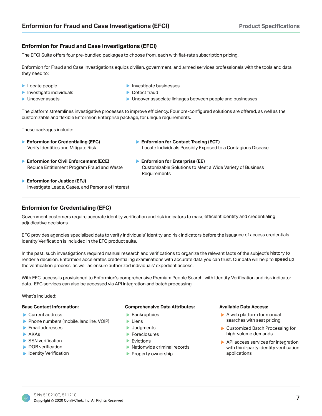## **Enformion for Fraud and Case Investigations (EFCI)**

The EFCI Suite offers four pre-bundled packages to choose from, each with flat-rate subscription pricing.

Enformion for Fraud and Case Investigations equips civilian, government, and armed services professionals with the tools and data they need to:

- **Locate people**
- $\blacktriangleright$  Investigate individuals
- **D** Uncover assets
- **Investigate businesses**
- **Detect fraud**
- $\blacktriangleright$  Uncover associate linkages between people and businesses

**Enformion for Contact Tracing (ECT)** 

The platform streamlines investigative processes to improve efficiency. Four pre-configured solutions are offered, as well as the customizable and flexible Enformion Enterprise package, for unique requirements.

These packages include:

- Verify Identities and Mitigate Risk **Enformion for Credentialing (EFC)**
- **Enformion for Civil Enforcement (ECE)** 
	- Customizable Solutions to Meet a Wide Variety of Business **Requirements Enformion for Enterprise (EE)**

Locate Individuals Possibly Exposed to a Contagious Disease

Investigate Leads, Cases, and Persons of Interest **Enformion for Justice (EFJ)** 

Reduce Entitlement Program Fraud and Waste

## **Enformion for Credentialing (EFC)**

Government customers require accurate identity verification and risk indicators to make efficient identity and credentialing adjudicative decisions.

EFC provides agencies specialized data to verify individuals' identity and risk indicators before the issuance of access credentials. Identity Verification is included in the EFC product suite.

In the past, such investigations required manual research and verifications to organize the relevant facts of the subject's history to render a decision. Enformion accelerates credentialing examinations with accurate data you can trust. Our data will help to speed up the verification process, as well as ensure authorized individuals' expedient access.

With EFC, access is provisioned to Enformion's comprehensive Premium People Search, with Identity Verification and risk indicator data. EFC services can also be accessed via API integration and batch processing.

What's Included:

#### **Base Contact Information:**

- ▶ Current address
- Phone numbers (mobile, landline, VOIP)
- Email addresses
- $\blacktriangleright$  AKAs
- $\blacktriangleright$  SSN verification
- DOB verification
- $\blacktriangleright$  Identity Verification

#### **Comprehensive Data Attributes:**

- $\blacktriangleright$  Bankruptcies
- **Liens**
- **Judgments**
- **Foreclosures**
- **Evictions**
- Nationwide criminal records
- **Property ownership**

#### **Available Data Access:**

- $\blacktriangleright$  A web platform for manual searches with seat pricing
- ▶ Customized Batch Processing for high-volume demands
- API access services for integration with third-party identity verification applications

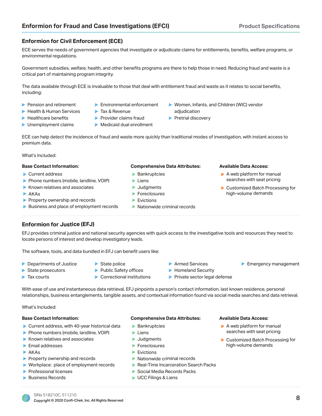#### **Enformion for Civil Enforcement (ECE)**

ECE serves the needs of government agencies that investigate or adjudicate claims for entitlements, benefits, welfare programs, or environmental regulations.

Government subsidies, welfare, health, and other benefits programs are there to help those in need. Reducing fraud and waste is a critical part of maintaining program integrity.

The data available through ECE is invaluable to those that deal with entitlement fraud and waste as it relates to social benefits, including:

- Pension and retirement
- Environmental enforcement
- $\blacktriangleright$  Health & Human Services
	- $\blacktriangleright$  Tax & Revenue  $\blacktriangleright$  Provider claims fraud
- $\blacktriangleright$  Healthcare benefits **Demployment claims**
- Medicaid dual enrollment
- ▶ Women, Infants, and Children (WIC) vendor adjudication
- Pretrial discovery

ECE can help detect the incidence of fraud and waste more quickly than traditional modes of investigation, with instant access to premium data.

What's Included:

#### **Base Contact Information:**

- ▶ Current address
- Phone numbers (mobile, landline, VOIP)
- $\blacktriangleright$  Known relatives and associates
- $\blacktriangleright$  AKAs
- Property ownership and records
- Business and place of employment records

#### **Comprehensive Data Attributes:**

- $\blacktriangleright$  Bankruptcies
- $\blacktriangleright$  Liens
- **Judgments**
- **Foreclosures**
- $\blacktriangleright$  Evictions
- Nationwide criminal records

#### **Available Data Access:**

- $\blacktriangleright$  A web platform for manual searches with seat pricing
- ▶ Customized Batch Processing for high-volume demands

Emergency management

**Enformion for Justice (EFJ)** 

EFJ provides criminal justice and national security agencies with quick access to the investigative tools and resources they need to locate persons of interest and develop investigatory leads.

The software, tools, and data bundled in EFJ can benefit users like:

- ▶ Departments of Justice
- $\blacktriangleright$  State police
- State prosecutors  $\blacktriangleright$  Tax courts
- $\blacktriangleright$  Public Safety offices ▶ Correctional institutions
- **Armed Services**
- Homeland Security
- Private sector legal defense

With ease of use and instantaneous data retrieval, EFJ pinpoints a person's contact information, last known residence, personal relationships, business entanglements, tangible assets, and contextual information found via social media searches and data retrieval.

What's Included:

#### **Base Contact Information:**

- ▶ Current address, with 40-year historical data
- Phone numbers (mobile, landline, VOIP)
- $\blacktriangleright$  Known relatives and associates
- $\blacktriangleright$  Email addresses
- AKAs
- Property ownership and records
- $\blacktriangleright$  Workplace: place of employment records
- $\blacktriangleright$  Professional licenses
- **Business Records**

#### **Comprehensive Data Attributes:**

- $\blacktriangleright$  Bankruptcies
- $\blacktriangleright$  Liens
- **Judgments**
- **Foreclosures**
- **Evictions**
- Nationwide criminal records
- Real-Time Incarceration Search Packs
- $\blacktriangleright$  Social Media Records Packs
- **D** UCC Filings & Liens

#### **Available Data Access:**

- $\blacktriangleright$  A web platform for manual searches with seat pricing
- ▶ Customized Batch Processing for high-volume demands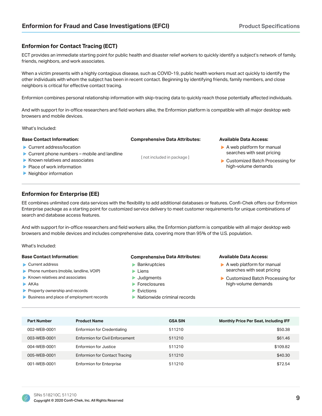### **Enformion for Contact Tracing (ECT)**

ECT provides an immediate starting point for public health and disaster relief workers to quickly identify a subject's network of family, friends, neighbors, and work associates.

When a victim presents with a highly contagious disease, such as COVID-19, public health workers must act quickly to identify the other individuals with whom the subject has been in recent contact. Beginning by identifying friends, family members, and close neighbors is critical for effective contact tracing.

Enformion combines personal relationship information with skip-tracing data to quickly reach those potentially affected individuals.

And with support for in-office researchers and field workers alike, the Enformion platform is compatible with all major desktop web browsers and mobile devices.

**Comprehensive Data Attributes:** 

[not included in package]

What's Included:

#### **Base Contact Information:**

- Current address/location
- $\triangleright$  Current phone numbers mobile and landline
- $\blacktriangleright$  Known relatives and associates
- $\blacktriangleright$  Place of work information
- $\blacktriangleright$  Neighbor information

#### **Enformion for Enterprise (EE)**

EE combines unlimited core data services with the flexibility to add additional databases or features. Confi-Chek offers our Enformion Enterprise package as a starting point for customized service delivery to meet customer requirements for unique combinations of search and database access features.

And with support for in-office researchers and field workers alike, the Enformion platform is compatible with all major desktop web browsers and mobile devices and includes comprehensive data, covering more than 95% of the U.S. population.

What's Included:

#### **Base Contact Information:**

- $\blacktriangleright$  Current address
- ▶ Phone numbers (mobile, landline, VOIP)
- $\blacktriangleright$  Known relatives and associates
- $\blacktriangleright$  AKAs
- Property ownership and records
- Business and place of employment records

#### **Comprehensive Data Attributes:**

- $\blacktriangleright$  Bankruptcies
- $\blacktriangleright$  Liens
- **Judgments**
- $\blacktriangleright$  Foreclosures
- $\blacktriangleright$  Evictions
- $\blacktriangleright$  Nationwide criminal records

#### **Available Data Access:**

**Available Data Access:** 

 $\blacktriangleright$  A web platform for manual searches with seat pricing

Customized Batch Processing for high-volume demands

- $\blacktriangleright$  A web platform for manual searches with seat pricing
- Customized Batch Processing for high-volume demands

| <b>Part Number</b> | <b>Product Name</b>                  | <b>GSA SIN</b> | <b>Monthly Price Per Seat, Including IFF</b> |
|--------------------|--------------------------------------|----------------|----------------------------------------------|
| 002-WEB-0001       | <b>Enformion for Credentialing</b>   | 511210         | \$50.38                                      |
| 003-WEB-0001       | Enformion for Civil Enforcement      | 511210         | \$61.46                                      |
| 004-WEB-0001       | Enformion for Justice                | 511210         | \$109.82                                     |
| 005-WEB-0001       | <b>Enformion for Contact Tracing</b> | 511210         | \$40.30                                      |
| 001-WEB-0001       | <b>Enformion for Enterprise</b>      | 511210         | \$72.54                                      |

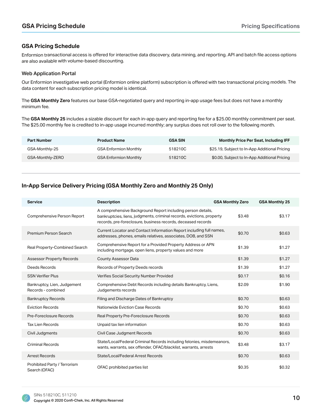### **GSA Pricing Schedule**

Enformion transactional access is offered for interactive data discovery, data mining, and reporting. API and batch file access options are also available with volume-based discounting.

#### Web Application Portal

Our Enformion investigative web portal (Enformion online platform) subscription is offered with two transactional pricing models. The data content for each subscription pricing model is identical.

The GSA Monthly Zero features our base GSA-negotiated query and reporting in-app usage fees but does not have a monthly minimum fee.

The GSA Monthly 25 includes a sizable discount for each in-app query and reporting fee for a \$25.00 monthly commitment per seat. The \$25.00 monthly fee is credited to in-app usage incurred monthly; any surplus does not roll over to the following month.

| <b>Part Number</b> | <b>Product Name</b>          | <b>GSA SIN</b> | <b>Monthly Price Per Seat, Including IFF</b>  |
|--------------------|------------------------------|----------------|-----------------------------------------------|
| GSA-Monthly-25     | <b>GSA Enformion Monthly</b> | 518210C        | \$25.19, Subject to In-App Additional Pricing |
| GSA-Monthly-ZERO   | <b>GSA Enformion Monthly</b> | 518210C        | \$0.00, Subject to In-App Additional Pricing  |

## In-App Service Delivery Pricing (GSA Monthly Zero and Monthly 25 Only)

| <b>Service</b>                                    | <b>Description</b>                                                                                                                                                                                   | <b>GSA Monthly Zero</b> | <b>GSA Monthly 25</b> |
|---------------------------------------------------|------------------------------------------------------------------------------------------------------------------------------------------------------------------------------------------------------|-------------------------|-----------------------|
| Comprehensive Person Report                       | A comprehensive Background Report including person details,<br>bankruptcies, liens, judgments, criminal records, evictions, property<br>records, pre-foreclosure, business records, deceased records | \$3.48                  | \$3.17                |
| Premium Person Search                             | Current Locator and Contact Information Report including full names,<br>addresses, phones, emails relatives, associates, DOB, and SSN                                                                | \$0.70                  | \$0.63                |
| Real Property-Combined Search                     | Comprehensive Report for a Provided Property Address or APN<br>including mortgage, open liens, property values and more                                                                              | \$1.39                  | \$1.27                |
| <b>Assessor Property Records</b>                  | <b>County Assessor Data</b>                                                                                                                                                                          | \$1.39                  | \$1.27                |
| Deeds Records                                     | Records of Property Deeds records                                                                                                                                                                    | \$1.39                  | \$1.27                |
| <b>SSN Verifier Plus</b>                          | Verifies Social Security Number Provided                                                                                                                                                             | \$0.17                  | \$0.16                |
| Bankruptcy, Lien, Judgement<br>Records - combined | Comprehensive Debt Records including details Bankruptcy, Liens,<br>Judgements records                                                                                                                | \$2.09                  | \$1.90                |
| <b>Bankruptcy Records</b>                         | Filing and Discharge Dates of Bankruptcy                                                                                                                                                             | \$0.70                  | \$0.63                |
| <b>Eviction Records</b>                           | Nationwide Eviction Case Records                                                                                                                                                                     | \$0.70                  | \$0.63                |
| Pre-Foreclosure Records                           | Real Property Pre-Foreclosure Records                                                                                                                                                                | \$0.70                  | \$0.63                |
| <b>Tax Lien Records</b>                           | Unpaid tax lien information                                                                                                                                                                          | \$0.70                  | \$0.63                |
| Civil Judgments                                   | Civil Case Judgment Records                                                                                                                                                                          | \$0.70                  | \$0.63                |
| <b>Criminal Records</b>                           | State/Local/Federal Criminal Records including felonies, misdemeanors,<br>wants, warrants, sex offender, OFAC/blacklist, warrants, arrests                                                           | \$3.48                  | \$3.17                |
| <b>Arrest Records</b>                             | State/Local/Federal Arrest Records                                                                                                                                                                   | \$0.70                  | \$0.63                |
| Prohibited Party / Terrorism<br>Search (OFAC)     | OFAC prohibited parties list                                                                                                                                                                         | \$0.35                  | \$0.32                |

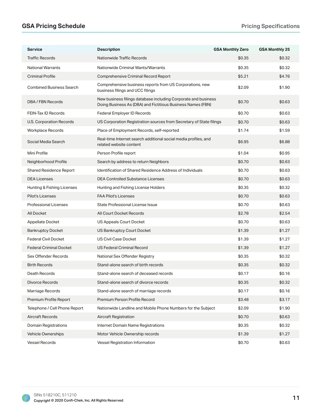## **\*658 A Pricing Schedule 3ULFLQ 3ULFLQ 3ULFLQ 3ULFLQ 3ULFLQ 3ULFLQ 3ULFLQ 3ULFLQ**

| <b>Service</b>                  | <b>Description</b>                                                                                                            | <b>GSA Monthly Zero</b> | <b>GSA Monthly 25</b> |
|---------------------------------|-------------------------------------------------------------------------------------------------------------------------------|-------------------------|-----------------------|
| <b>Traffic Records</b>          | Nationwide Traffic Records                                                                                                    | \$0.35                  | \$0.32                |
| <b>National Warrants</b>        | Nationwide Criminal Wants/Warrants                                                                                            | \$0.35                  | \$0.32                |
| <b>Criminal Profile</b>         | Comprehensive Criminal Record Report                                                                                          | \$5.21                  | \$4.76                |
| <b>Combined Business Search</b> | Comprehensive business reports from US Corporations, new<br>business filings and UCC filings                                  | \$2.09                  | \$1.90                |
| DBA / FBN Records               | New business filings database including Corporate and business<br>Doing Business As (DBA) and Fictitious Business Names (FBN) | \$0.70                  | \$0.63                |
| FEIN-Tax ID Records             | Federal Employer ID Records                                                                                                   | \$0.70                  | \$0.63                |
| U.S. Corporation Records        | US Corporation Registration sources from Secretary of State filings                                                           | \$0.70                  | \$0.63                |
| <b>Workplace Records</b>        | Place of Employment Records, self-reported                                                                                    | \$1.74                  | \$1.59                |
| Social Media Search             | Real-time Internet search additional social media profiles, and<br>related website content                                    | \$6.95                  | \$6.88                |
| Mini Profile                    | Person Profile report                                                                                                         | \$1.04                  | \$0.95                |
| Neighborhood Profile            | Search by address to return Neighbors                                                                                         | \$0.70                  | \$0.63                |
| <b>Shared Residence Report</b>  | Identification of Shared Residence Address of Individuals                                                                     | \$0.70                  | \$0.63                |
| <b>DEA Licenses</b>             | <b>DEA Controlled Substance Licenses</b>                                                                                      | \$0.70                  | \$0.63                |
| Hunting & Fishing Licenses      | Hunting and Fishing License Holders                                                                                           | \$0.35                  | \$0.32                |
| Pilot's Licenses                | <b>FAA Pilot's Licenses</b>                                                                                                   | \$0.70                  | \$0.63                |
| Professional Licenses           | State Professional License Issue                                                                                              | \$0.70                  | \$0.63                |
| All Docket                      | All Court Docket Records                                                                                                      | \$2.78                  | \$2.54                |
| Appellate Docket                | US Appeals Court Docket                                                                                                       | \$0.70                  | \$0.63                |
| <b>Bankruptcy Docket</b>        | <b>US Bankruptcy Court Docket</b>                                                                                             | \$1.39                  | \$1.27                |
| <b>Federal Civil Docket</b>     | <b>US Civil Case Docket</b>                                                                                                   | \$1.39                  | \$1.27                |
| <b>Federal Criminal Docket</b>  | <b>US Federal Criminal Record</b>                                                                                             | \$1.39                  | \$1.27                |
| Sex Offender Records            | National Sex Offender Registry                                                                                                | \$0.35                  | \$0.32                |
| <b>Birth Records</b>            | Stand-alone search of birth records                                                                                           | \$0.35                  | \$0.32                |
| Death Records                   | Stand-alone search of deceased records                                                                                        | \$0.17                  | \$0.16                |
| Divorce Records                 | Stand-alone search of divorce records                                                                                         | \$0.35                  | \$0.32                |
| Marriage Records                | Stand-alone search of marriage records                                                                                        | \$0.17                  | \$0.16                |
| Premium Profile Report          | Premium Person Profile Record                                                                                                 | \$3.48                  | \$3.17                |
| Telephone / Cell Phone Report   | Nationwide Landline and Mobile Phone Numbers for the Subject                                                                  | \$2.09                  | \$1.90                |
| <b>Aircraft Records</b>         | <b>Aircraft Registration</b>                                                                                                  | \$0.70                  | \$0.63                |
| Domain Registrations            | Internet Domain Name Registrations                                                                                            | \$0.35                  | \$0.32                |
| Vehicle Ownerships              | Motor Vehicle Ownership records                                                                                               | \$1.39                  | \$1.27                |
| <b>Vessel Records</b>           | Vessel Registration Information                                                                                               | \$0.70                  | \$0.63                |

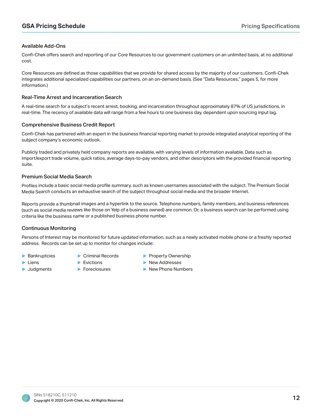#### Available Add-Ons

Confi-Chek offers search and reporting of our Core Resources to our government customers on an unlimited basis, at no additional cost.

Core Resources are defined as those capabilities that we provide for shared access by the majority of our customers. Confi-Chek integrates additional specialized capabilities our partners, on an on-demand basis. (See "Data Resources," pages 5, for more information.)

#### Real-Time Arrest and Incarceration Search

A real-time search for a subject's recent arrest, booking, and incarceration throughout approximately 87% of US jurisdictions, in real-time. The recency of available data will range from a few hours to one business day, dependent upon sourcing input lag.

#### Comprehensive Business Credit Report

Confi-Chek has partnered with an expert in the business financial reporting market to provide integrated analytical reporting of the subject company's economic outlook.

Publicly traded and privately held company reports are available, with varying levels of information available. Data such as import/export trade volume, quick ratios, average days-to-pay vendors, and other descriptors with the provided financial reporting suite.

#### Premium Social Media Search

Profiles include a basic social media profile summary, such as known usernames associated with the subject. The Premium Social Media Search conducts an exhaustive search of the subject throughout social media and the broader Internet.

Reports provide a thumbnail images and a hyperlink to the source. Telephone numbers, family members, and business references (such as social media reviews like those on Yelp of a business owned) are common. Or, a business search can be performed using criteria like the business name or a published business phone number.

#### Continuous Monitoring

Persons of Interest may be monitored for future updated information, such as a newly activated mobile phone or a freshly reported address. Records can be set up to monitor for changes include:

 $\blacktriangleright$  Bankruptcies

**Judgments** 

- $\blacktriangleright$  Liens
- $\blacktriangleright$  Evictions

▶ Criminal Records

- **Foreclosures**
- Property Ownership
- New Addresses
- New Phone Numbers

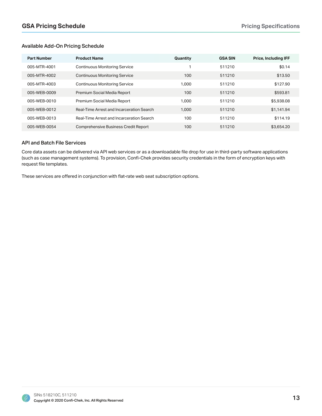#### Available Add-On Pricing Schedule

| <b>Part Number</b> | <b>Product Name</b>                         | Quantity | <b>GSA SIN</b> | <b>Price, Including IFF</b> |
|--------------------|---------------------------------------------|----------|----------------|-----------------------------|
| 005-MTR-4001       | <b>Continuous Monitoring Service</b>        |          | 511210         | \$0.14                      |
| 005-MTR-4002       | <b>Continuous Monitoring Service</b>        | 100      | 511210         | \$13.50                     |
| 005-MTR-4003       | <b>Continuous Monitoring Service</b>        | 1,000    | 511210         | \$127.90                    |
| 005-WEB-0009       | Premium Social Media Report                 | 100      | 511210         | \$593.81                    |
| 005-WEB-0010       | Premium Social Media Report                 | 1,000    | 511210         | \$5,938.08                  |
| 005-WEB-0012       | Real-Time Arrest and Incarceration Search   | 1,000    | 511210         | \$1,141.94                  |
| 005-WEB-0013       | Real-Time Arrest and Incarceration Search   | 100      | 511210         | \$114.19                    |
| 005-WEB-0054       | <b>Comprehensive Business Credit Report</b> | 100      | 511210         | \$3,654.20                  |

#### API and Batch File Services

Core data assets can be delivered via API web services or as a downloadable file drop for use in third-party software applications (such as case management systems). To provision, Confi-Chek provides security credentials in the form of encryption keys with request file templates.

These services are offered in conjunction with flat-rate web seat subscription options.

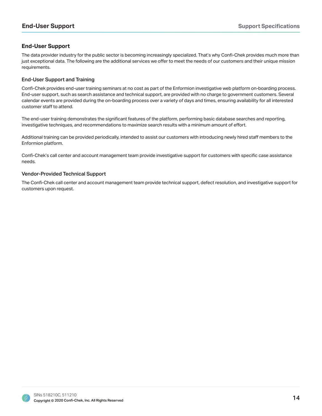## **End-User Support**

The data provider industry for the public sector is becoming increasingly specialized. That's why Confi-Chek provides much more than just exceptional data. The following are the additional services we offer to meet the needs of our customers and their unique mission requirements.

#### End-User Support and Training

Confi-Chek provides end-user training seminars at no cost as part of the Enformion investigative web platform on-boarding process. End-user support, such as search assistance and technical support, are provided with no charge to government customers. Several calendar events are provided during the on-boarding process over a variety of days and times, ensuring availability for all interested customer staff to attend.

The end-user training demonstrates the significant features of the platform, performing basic database searches and reporting, investigative techniques, and recommendations to maximize search results with a minimum amount of effort.

Additional training can be provided periodically, intended to assist our customers with introducing newly hired staff members to the Enformion platform.

Confi-Chek's call center and account management team provide investigative support for customers with specific case assistance needs.

#### Vendor-Provided Technical Support

The Confi-Chek call center and account management team provide technical support, defect resolution, and investigative support for customers upon request.

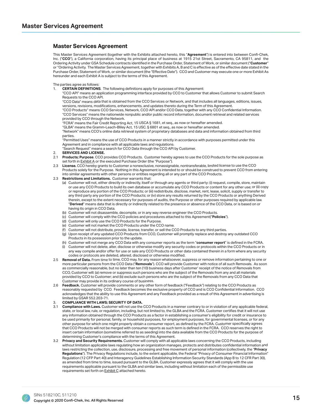#### **Master Services Agreement**

This Master Services Agreement (together with the Exhibits attached hereto, this "Agreement") is entered into between Confi-Chek, Inc. ("CCO"), a California corporation, having its principal place of business at 1915 21st Street, Sacramento, CA 95811, and the Ordering Activity under GSA Schedule contracts identified in the Purchase Order, Statement of Work, or similar document ("Customer" or "Ordering Activity. The Master Services Agreement, together with Exhibits A, B and C is effective as of the effective date stated in the Purchase Order, Statement of Work, or similar document (the "Effective Date"). CCO and Customer may execute one or more Exhibit As hereunder and each Exhibit A is subject to the terms of this Agreement.

The parties agree as follows:

1. **CERTAIN DEFINITIONS**. The following definitions apply for purposes of this Agreement:

 "CCO API" means an application programming interface provided by CCO to Customer that allows Customer to submit Search Requests to the CCO API.

"CCO Data" means data that is obtained from the CCO Services or Network, and that includes all languages, editions, issues, versions, revisions, modifications, enhancements, and updates thereto during the Term of this Agreement.

"CCO Products" means CCO Services, Network, CCO API and/or CCO Data, together with any CCO Confidential Information. "CCO Services" means the nationwide nonpublic and/or public record information, document retrieval and related services provided by CCO through the Network.

"FCRA" means the Fair Credit Reporting Act, 15 USCA § 1681, et seq., as now or hereafter amended.

 "GLBA" means the Gramm-Leach-Bliley Act, 15 USC. § 6801 et seq., as now or hereafter amended. "Network" means CCO's online data retrieval system of proprietary databases and data and information obtained from third parties.

 "Permitted Uses" means the use of CCO Products in a manner strictly in accordance with purposes permitted under this Agreement and in compliance with all applicable laws and regulations.

"Search Request" means a search for CCO Data through the CCO API by Customer.

#### **SERVICES AND LICENSE.**

- 2.1 **Products; Purpose**. CCO provides CCO Products. Customer hereby agrees to use the CCO Products for the sole purpose as set forth in Exhibit A or the executed Purchase Order (the "Purpose").
- 2.3 License. CCO hereby grants to Customer a nonexclusive, nonassignable, nontransferable, limited license to use the CCO Products solely for the Purpose. Nothing in this Agreement is intended to or should be construed to prevent CCO from entering into similar agreements with other persons or entities regarding all or any part of the CCO Products.
- 2.3 **Restrictions and Limitations.** Customer warrants that:
	- (a) Customer will not, either directly or indirectly, itself or through any agents or third party: (i) request, compile, store, maintain or use any CCO Products to build its own database or accumulate any CCO Products or content for any other use; or (ii) copy or reproduce any portion of the CCO Products; or (iii) redistribute, disclose, market, rent, lease, solicit, supply or transfer to any third party any portion of the CCO Products; or (iv) store any results returned by the CCO Products or anything Derived therein, except to the extent necessary for purposes of audits, the Purpose or other purposes required by applicable law. "**Derived**" means data that is directly or indirectly related to the presence or absence of the CCO Data, or is based on or having its origin in CCO Data.
	- (b) Customer will not disassemble, decompile, or in any way reverse engineer the CCO Products.
	- (c) Customer will comply with the CCO policies and procedures attached to this Agreement("Policies").
	- (d) Customer will only use the CCO Products for the Purpose.
	- (e) Customer will not market the CCO Products under the CCO name.
	- Customer will not distribute, provide, license, transfer, or sell the CCO Products to any third parties.
	- (g) Upon receipt of any updated CCO Products from CCO, Customer will promptly replace and destroy any outdated CCO Products in its possession prior to the update.
	- (h) Customer will not merge any CCO Data with any consumer reports as the term "consumer report" is defined in the FCRA.
	- Customer will not delete, alter, disclose or otherwise modify any security codes or protocols within the CCO Products or in any way compile and/or offer for use or sale any CCO Products or other data contained therein in a form where any security codes or protocols are deleted, altered, disclosed or otherwise modified.
- 2.5 **Removal of Data.** From time to time, CCO may, for any reason whatsoever, suppress or remove information pertaining to one or more particular persons from the CCO Data ("**Removals**"). CCO will provide Customer with notice of all such Removals. As soon as commercially reasonable, but no later than ten (10) business days after Customer' receipt of the notice of Removals from CCO, Customer will: (a) remove or suppress such persons who are the subject of the Removals from any and all materials provided by CCO to Customer; and (b) exclude such persons who are the subject of the Removals from any CCO Data that Customer may provide in its ordinary course of business.
- 2.6 **Feedback.** Customer will provide comments or any other form of feedback ("Feedback") relating to the CCO Products as reasonably requested by CCO. Feedback becomes the exclusive property of CCO and is CCO Confidential Information. CCO acknowledges that the ability to use this Agreement and any Feedback provided as a result of this Agreement in advertising is limited by GSAR 552.203-71.
- 3. **COMPLIANCE WITH LAWS; SECURITY OF DATA.**
- 3.1 **Compliance with Laws.** Customer will not use the CCO Products in a manner contrary to or in violation of any applicable federal, state, or local law, rule, or regulation, including, but not limited to, the GLBA and the FCRA. Customer certifies that it will not use any information obtained through the CCO Products as a factor in establishing a consumer's eligibility for credit or insurance to be used primarily for personal, family, or household purposes, for employment purposes, for governmental licenses, or for any other purpose for which one might properly obtain a consumer report, as defined by the FCRA. Customer specifically agrees that CCO Products will not be merged with consumer reports as such term is defined in the FCRA. CCO reserves the right to insert certain information (sometime referred to as seeding) into the data available from the CCO Products for the purpose of determining Customer's compliance with the terms of this Agreement.
- Privacy and Security Requirements. Customer will comply with all applicable laws concerning the CCO Products, including without limitation applicable laws regulating how an organization manages, protects and distributes confidential information and laws restricting the collection, use, disclosure, processing and free movement of personal information (collectively, the "Privacy Regulations"). The Privacy Regulations include, to the extent applicable, the Federal "Privacy of Consumer Financial Information" Regulation (12 CFP Part 40) and Interagency Guidelines Establishing Information Security Standards (App B to 12 CFR Part 30), as amended from time to time, issued pursuant to the GLBA. Customer expressly agrees that it will comply with the use requirements applicable pursuant to the GLBA and similar laws, including without limitation each of the permissible use requirements set forth on Exhibit C attached hereto.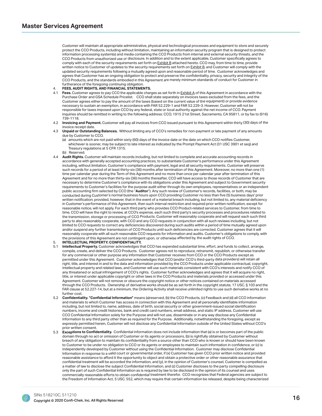Customer will maintain all appropriate administrative, physical and technological processes and equipment to store and securely protect the CCO Products, including without limitation, maintaining an information security program that is designed to protect information processing system(s) and media containing the CCO Products from internal and external security threats, and the CCO Products from unauthorized use or disclosure. In addition and to the extent applicable, Customer specifically agrees to comply with each of the security requirements set forth on Exhibit B attached hereto. CCO may, from time to time, provide written notice to Customer of updates to the security requirements set forth on Exhibit B, and Customer will comply with the updated security requirements following a mutually agreed upon and reasonable period of time. Customer acknowledges and agrees that Customer has an ongoing obligation to protect and preserve the confidentiality, privacy, security and integrity of the CCO Products, and the standards embodied in this Agreement are merely minimum standards of conduct for Customer in furtherance of the foregoing continuing obligation.

#### **FEES, AUDIT RIGHTS, AND FINANCIAL STATEMENTS.**

- 4.1 **Fees.** Customer agrees to pay CCO the applicable charges as set forth in Exhibit A of this Agreement in accordance with the Purchase Order and GSA Schedule Pricelist. CCO shall state separately on invoices taxes excluded from the fees, and the Customer agrees either to pay the amount of the taxes (based on the current value of the equipment) or provide evidence necessary to sustain an exemption, in accordance with FAR 52.229-1 and FAR 52.229-3. However, Customer will not be responsible for taxes imposed upon CCO by any federal, state or local authority against the net income of CCO. Payment inquiries should be remitted in writing to the following address: CCO, 1915 21st Street, Sacramento, CA 95811, or by fax to (916) 739-1118.
- 4.2 **Invoicing and Payment.** Customer will pay all invoices from CCO issued pursuant to this Agreement within thirty (30) days of the invoice receipt date.
- 4.3 **Unpaid or Outstanding Balances.** Without limiting any of CCO's remedies for non-payment or late payment of any amounts due by Customer to CCO,
	- (a) amounts which are not paid within sixty (60) days of the invoice date or the date on which CCO notifies Customer, whichever is sooner, may be subject to late interest as indicated by the Prompt Payment Act (31 USC 3901 et seq) and Treasury regulations at 5 CFR 1315.
	- (b) Reserved.
- 4.4 Audit Rights. Customer will maintain records including, but not limited to complete and accurate accounting records in accordance with generally accepted accounting practices, to substantiate Customer's performance under this Agreement including, without limitation, Customer's compliance with payment, legal and all security requirements. Customer will preserve such records for a period of at least thirty-six (36) months after termination of this Agreement. Moreover, no more than one (1) time per calendar year during the Term of this Agreement and no more than once per calendar year after termination of this Agreement and for no more than thirty-six (36) months thereafter, CCO will have access to those records of Customer that are necessary to determine Customer's compliance with its obligations under this Agreement and subject to Government security requirements to Customer's facilities for the purpose audit either through its own employees, representatives or an independent public accounting firm selected by CCO (the "Auditor"). Any such review of Customer's records, facilities, or both, may be conducted during Customer's normal business hours upon CCO providing Customer no less than five (5) business days' prior written notification; provided, however, that in the event of a material breach including, but not limited to, any material deficiency in Customer's performance of this Agreement, then such interval restriction and required prior written notification, except for reasonable notice, will not apply. For each third party who provides CCO Product-related services to Customer, from time to time, CCO will have the right to review, at CCO's expense, each such third party's security processes and procedures related to the transmission, storage or processing of CCO Products. Customer will reasonably cooperate and will request each such third party to also reasonably cooperate, with CCO and any CCO requests in conjunction with all such reviews including, but not limited to CCO requests to correct any deficiencies discovered during such audits within a period of time mutually agreed upon and/or suspend any further transmission of CCO Products until such deficiencies are corrected. Customer agrees that it will reasonably cooperate with all such reasonable CCO requests for information and audits. Customer's obligations to comply, with the provisions of this Agreement are not contingent upon, or otherwise affected by, the audit rights of CCO.

#### **INTELLECTUAL PROPERTY; CONFIDENTIALITY.**

- 5.1 **Intellectual Property.** Customer acknowledges that CCO has expended substantial time, effort, and funds to collect, arrange, compile, create, and deliver the CCO Products. Customer agrees not to reproduce, retransmit, republish, or otherwise transfer for any commercial or other purpose any information that Customer receives from CCO or the CCO Products except as permitted under this Agreement. Customer acknowledges that CCO (and/or CCO's third-party data providers) will retain all right, title, and interest in and to the data and information provided by the CCO Products under applicable contractual, copyright, intellectual property and related laws, and Customer will use such materials consistent with CCO's interests and notify CCO of any threatened or actual infringement of CCO's rights. Customer further acknowledges and agrees that it will acquire no right, title, or interest under applicable copyright or other laws in the CCO Products and materials provided or accessed under this Agreement. Customer will not remove or obscure the copyright notice or other notices contained on materials accessed through the CCO Products. Ownership of derivative works should be as set forth in the copyright statute, 17 USC. § 103 and the FAR clause at 52.227-14, but at a minimum, the Ordering Activity shall receive unlimited rights to use such derivative works at no further cost.
- 5.2 **Confidentiality. "Confidential Information"** means (a)reserved, (b) the CCO Products, (c) Feedback and (d) all CCO information and materials to which Customer has access in connection with this Agreement and all personally identifiable information including, but not limited to, name, address, date of birth, social security or other government-issued social identification numbers, income and credit histories, bank and credit card numbers, email address, and static IP address. Customer will use CCO Confidential Information solely for the Purpose and will not use, disseminate or in any way disclose any Confidential Information to any third party other than as required for the Purpose. Additionally, notwithstanding the foregoing, except as expressly permitted herein, Customer will not disclose any Confidential Information outside of the United States without CCO's prior written consent.
- 5.3 **Exceptions to Confidentiality.** Confidential information does not include information that (a) is or becomes part of the public domain through no act or omission of Customer or its agents or processors, (b) is rightfully obtained by Customer without breach of any obligation to maintain its confidentiality from a source other than CCO who is known or should have been known to Customer to be under no obligation to CCO or its agents or employees to maintain such information in confidence, or (c) is independently developed by Customer without using the Confidential Information. Customer may disclose Confidential Information in response to a valid court or governmental order, if (x) Customer has given CCO prior written notice and provided reasonable assistance to afford it the opportunity to object and obtain a protective order or other reasonable assurance that confidential treatment will be accorded the information, and (y), in the opinion of Customer's counsel, Customer is compelled as a matter of law to disclose the subject Confidential Information, and (z) Customer discloses to the party compelling disclosure only the part of such Confidential Information as is required by law to be disclosed in the opinion of its counsel and uses commercially reasonable efforts to obtain confidential treatment therefor. CCO recognizes that Federal agencies are subject to the Freedom of Information Act, 5 USC. 552, which may require that certain information be released, despite being characterized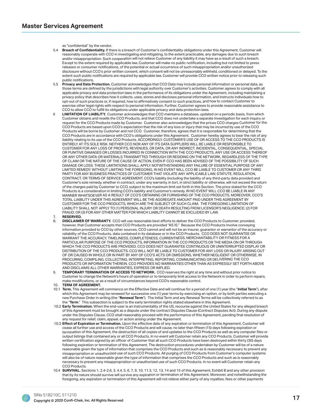as "confidential" by the vendor.<br>5.4 **Breach of Confidentiality.** If th

- Breach of Confidentiality. If there is a breach of Customer's confidentiality obligations under this Agreement, Customer will reasonably cooperate with CCO in investigating and mitigating, to the extent practicable, any damages due to such breach and/or misappropriation. Such cooperation will not relieve Customer of any liability it may have as a result of such a breach. Except to the extent required by applicable law, Customer will make no public notification, including but not limited to press releases or consumer notifications, of the potential or actual occurrence of such misappropriation and/or unauthorized disclosure without CCO's prior written consent, which consent will not be unreasonably withheld, conditioned or delayed. To the extent such public notifications are required by applicable law, Customer will provide CCO written notice prior to releasing such public notifications.
- 5.5 **Privacy and Data Protection.** Customer acknowledges that CCO Data may include personal information or personal data, as those terms are defined by the jurisdictions with legal authority over Customer's activities. Customer agrees to comply with all applicable privacy and data protection laws in the performance of its obligations under the Agreement, including maintaining a privacy policy that describes how it collects, uses, stores and discloses personal information, and instructs individuals how to opt-out of such practices or, if required, how to affirmatively consent to such practices, and how to contact Customer to exercise other legal rights with respect to personal information. Further, Customer agrees to provide reasonable assistance to CCO to allow CCO to fulfill its obligations under applicable privacy and data protection laws.
- 6 **LIMITATION OF LIABILITY.** Customer acknowledges that CCO maintains a database, updated on a periodic basis, from which Customer obtains and resells the CCO Products, and that CCO does not undertake a separate investigation for each inquiry or request for the CCO Products made by Customer. Customer also acknowledges that the prices CCO charges Customer for the CCO Products are based upon CCO's expectation that the risk of any loss or injury that may be incurred by use of the CCO Products will be borne by Customer and not CCO. Customer, therefore, agrees that it is responsible for determining that the CCO Products are in accordance with CCO's obligations under this Agreement. Customer hereby agrees to bear the risk of any liability relating to its use of the CCO Products. ACCORDINGLY, CUSTOMER'S USE OF OR ACCESS TO THE CCO PRODUCTS IS ENTIRELY AT ITS SOLE RISK. NEITHER CCO NOR ANY OF ITS DATA SUPPLIERS WILL BE LIABLE OR RESPONSIBLE TO CUSTOMER FOR ANY LOSS OF PROFITS, REVENUES, OR DATA, OR ANY INDIRECT, INCIDENTAL, CONSEQUENTIAL, SPECIAL OR PUNITIVE DAMAGES OR LOSSES INCURRED IN CONNECTION WITH THE CCO PRODUCTS, ANY USE OR ACCESS THEREOF OR ANY OTHER DATA OR MATERIALS TRANSMITTED THROUGH OR RESIDING ON THE NETWORK, REGARDLESS OF THE TYPE OF CLAIM OR THE NATURE OF THE CAUSE OF ACTION, EVEN IF CCO HAS BEEN ADVISED OF THE POSSIBILITY OF SUCH DAMAGE OR LOSS. THESE LIMITATIONS SHALL APPLY NOTWITHSTANDING ANY FAILURE OF ESSENTIAL PURPOSE OF ANY LIMITED REMEDY. WITHOUT LIMITING THE FOREGOING, IN NO EVENT WILL CCO BE LIABLE TO CUSTOMER OR ANY THIRD PARTY FOR ANY BUSINESS PRACTICES OF CUSTOMER THAT VIOLATE ANY APPLICABLE LAW, STATUTE, REGULATION, CONTRACT, OR TERMS OF SERVICE AGREEMENT. CCO's liability (including the liability of any third-party data provider) and Customer's sole remedy, whether in contract, under any warranty, in tort, in strict liability or otherwise, will not exceed the return of the charges paid by Customer to CCO, subject to the maximum limit set forth in this Section. The price stated for the CCO Products is a consideration in limiting CCO's liability and Customer's remedy. IN NO EVENT WILL CCO BE LIABLE IN ANY MANNER WHATSOEVER AS A RESULT OF CCO'S OBTAINING OR FURNISHING OF THE CCO PRODUCTS. MOREOVER, CCO'S TOTAL LIABILITY UNDER THIS AGREEMENT WILL BE THE AGGREGATE AMOUNT PAID UNDER THIS AGREEMENT BY CUSTOMER FOR THE CCO PRODUCTS, WHICH ARE THE SUBJECT OF SUCH CLAIM. THE FOREGOING LIMITATION OF LIABILITY SHALL NOT APPLY TO (1) PERSONAL INJURY OR DEATH RESULTING FROM LICENSOR'S NEGLIGENCE; (2) FOR FRAUD; OR (3) FOR ANY OTHER MATTER FOR WHICH LIABILITY CANNOT BE EXCLUDED BY LAW. 7. **RESERVED.**
- 8. **DISCLAIMER OF WARRANTY.** CCO will use reasonable best efforts to deliver the CCO Products to Customer: provided. however, that Customer accepts that CCO Products are provided "AS IS." Because the CCO Products involve conveying information provided to CCO by other sources, CCO cannot and will not be an insurer, guarantor or warrantor of the accuracy or reliability of the CCO Products, data contained in its database or in the CCO Products. CCO DOES NOT GUARANTEE OR WARRANT THE ACCURACY, TIMELINESS, COMPLETENESS, CURRENTNESS, MERCHANTABILITY OR FITNESS FOR A PARTICULAR PURPOSE OF THE CCO PRODUCTS, INFORMATION IN THE CCO PRODUCTS OR THE MEDIA ON OR THROUGH WHICH THE CCO PRODUCTS ARE PROVIDED. CCO DOES NOT GUARANTEE CONTINUOUS OR UNINTERRUPTED DISPLAY OR DISTRIBUTION OF THE CCO PRODUCTS. CCO WILL NOT BE LIABLE TO CUSTOMER FOR ANY LOSS OR INJURY ARISING OUT OF OR CAUSED IN WHOLE OR IN PART BY ANY OF CCO'S ACTS OR OMISSIONS, WHETHER NEGLIGENT OR OTHERWISE, IN PROCURING, COMPILING, COLLECTING, INTERPRETING, REPORTING, COMMUNICATING OR DELIVERING THE CCO PRODUCTS OR INFORMATION THEREIN. CCO PROVIDES NO WARRANTIES OTHER THAN AS EXPRESSLY SET FORTH ABOVE AND DISCLAIMS ALL OTHER WARRANTIES, EXPRESS OR IMPLIED.
- 9. **TEMPORARY TERMINATION OF ACCESS TO NETWORK.** CCO reserves the right at any time and without prior notice to Customer to change the Network's hours of operation or to temporarily limit access to the Network in order to perform repairs, make modifications, or as a result of circumstances beyond CCO's reasonable control.
- 10. **TERM OF AGREEMENT.**
- 10.1 Term. This Agreement will commence on the Effective Date and will continue for a period of one (1) year (the "Initial Term"), after which this Agreement may be renewed for successive one (1) year terms by exercising an option, or by both parties executing a new Purchase Order in writing (the "Renewal Term"). The Initial Term and any Renewal Terms will be collectively referred to as the "Term." This subsection is subject to the early termination rights stated elsewhere in this Agreement.
- 10.2 **Early Termination.** When the end-user is an instrumentality of the US, recourse against the United States for any alleged breach of this Agreement must be brought as a dispute under the contract Disputes Clause (Contract Disputes Act). During any dispute under the Disputes Clause, CCO shall reasonably proceed with the performance of this Agreement, pending final resolution of any request for relief, claim, appeal, or action arising under the Agreement.
- 10.3 **Effect of Expiration or Termination.** Upon the effective date of any expiration or termination of this Agreement, Customer will cease all further use and access of the CCO Products and will cause, no later than fifteen (15) days following expiration or termination of this Agreement, the destruction of all copies of and updates to the CCO Products as well as any computer files or output listings that contained any or all CCO Products. In no event will Customer retain any CCO Products. Customer will provide written certification signed by an officer of Customer that all such CCO Products have been destroyed within thirty (30) days following expiration or termination of this Agreement. The destruction procedures undertaken by Customer will be of a nature reasonable given the type of information that comprises the CCO Products and such as is reasonably necessary to prevent any misappropriation or unauthorized use of such CCO Products. All purging of CCO Products from Customer's computer systems will also be of nature reasonable given the type of information that comprises the CCO Products and such as is reasonably necessary to prevent any misappropriation or unauthorized use of such CCO Products. In no event will Customer retain any CCO Products.
- 10.4 **6859,9\$/** Sections 1, 2.4-2.6, 3, 4.4, 5, 6, 7, 9, 10, 11.3, 12, 13, 14 and 15 of this Agreement, Exhibit B and any other provision that by its nature should survive will survive any expiration or termination of this Agreement. Moreover, and notwithstanding the foregoing, any expiration or termination of this Agreement will not relieve either party of any royalties, fees or other payments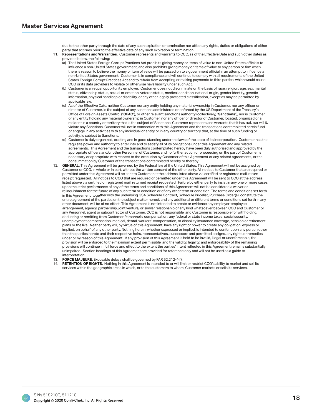due to the other party through the date of any such expiration or termination nor affect any rights, duties or obligations of either party that accrues prior to the effective date of any such expiration or termination.

- 11. **Representations and Warranties.** Customer represents and warrants to CCO, as of the Effective Date and such other dates as provided below, the following:
	- (a) The United States Foreign Corrupt Practices Act prohibits giving money or items of value to non-United States officials to influence a non-United States government, and also prohibits giving money or items of value to any person or firm when there is reason to believe the money or item of value will be passed on to a government official in an attempt to influence a non-United States government. Customer is in compliance and will continue to comply with all requirements of the United States Foreign Corrupt Practices Act and to refrain from accepting or making payments to third parties, which would cause CCO or its data providers to violate or otherwise have liability under such Act.
	- (b) Customer is an equal opportunity employer. Customer does not discriminate on the basis of race, religion, age, sex, marital status, citizenship status, sexual orientation, veteran status, medical condition, national origin, gender identity, genetic information, physical handicap or disability, or any other legally protected classification, except as may be permitted by applicable law.
	- (c) As of the Effective Date, neither Customer nor any entity holding any material ownership in Customer, nor any officer or director of Customer, is the subject of any sanctions administered or enforced by the US Department of the Treasury's Office of Foreign Assets Control ("OFAC"), or other relevant sanctions authority (collectively, "Sanctions"), nor is Customer or any entity holding any material ownership in Customer, nor any officer or director of Customer, located, organized or a resident in a country or territory that is the subject of Sanctions. Customer represents and warrants that it has not, nor will it, violate any Sanctions. Customer will not in connection with this Agreement and the transactions contemplated herein fund or engage in any activities with any individual or entity or in any country or territory that, at the time of such funding or activity, is subject to Sanctions.<br>(d) Customer is duly organized, exi-
	- Customer is duly organized, existing and in good standing under the laws of the state of its incorporation. Customer has the requisite power and authority to enter into and to satisfy all of its obligations under this Agreement and any related agreements. This Agreement and the transactions contemplated hereby have been duly authorized and approved by the appropriate officers and/or other Personnel of Customer, and no further action or proceeding on the part of Customer is necessary or appropriate with respect to the execution by Customer of this Agreement or any related agreements, or the consummation by Customer of the transactions contemplated hereby or thereby.
- 12. GENERAL. This Agreement will be governed by the Federal law of the United States. This Agreement will not be assigned by Customer or CCO, in whole or in part, without the written consent of the other party. All notices to Customer that are required or permitted under this Agreement will be sent to Customer at the address listed above via certified or registered mail, return receipt requested. All notices to CCO that are required or permitted under this Agreement will be sent to CCO at the address listed above via certified or registered mail, returned receipt requested. Failure by either party to insist in any one or more cases upon the strict performance of any of the terms and conditions of this Agreement will not be considered a waiver or relinquishment for the future of any such term or condition or of any other term or condition. The terms and conditions set forth in this Agreement, together with the underlying GSA Schedule Contract, Schedule Pricelist, Purchase Order(s), constitute the entire agreement of the parties on the subject matter hereof, and any additional or different terms or conditions set forth in any other document, will be of no effect. This Agreement is not intended to create or evidence any employer-employee arrangement, agency, partnership, joint venture, or similar relationship of any kind whatsoever between CCO and Customer or any Personnel, agent or subcontractor of Customer. CCO is not responsible, and Customer is responsible for withholding, deducting or remitting from Customer Personnel's compensation, any federal or state income taxes, social security, unemployment compensation, medical, dental, workers' compensation, or disability insurance coverage, pension or retirement plans or the like. Neither party will, by virtue of this Agreement, have any right or power to create any obligation, express or implied, on behalf of any other party. Nothing herein, whether expressed or implied, is intended to confer upon any person other than the parties hereto and their respective heirs, representatives, successors and permitted assigns, any rights or remedies under or by reason of this Agreement. If any provision of this Agreement is held to be invalid, illegal or unenforceable, the provision will be enforced to the maximum extent permissible, and the validity, legality, and enforceability of the remaining provisions will continue in full force and effect to the extent the parties' intent reflected in this Agreement remains substantially unimpaired. Section headings of this Agreement are provided for reference only and will not be used as a guide to interpretation.
- 13. **FORCE MAJEURE.** Excusable delays shall be governed by FAR 52.212-4(f).
- 14. **RETENTION OF RIGHTS.** Nothing in this Agreement is intended to or will limit or restrict CCO's ability to market and sell its services within the geographic areas in which, or to the customers to whom, Customer markets or sells its services.

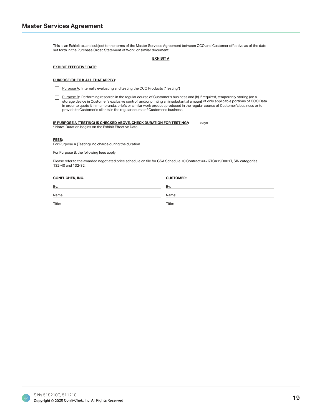This is an Exhibit to, and subject to the terms of the Master Services Agreement between CCO and Customer effective as of the date set forth in the Purchase Order, Statement of Work, or similar document.

#### **EXHIBIT A**

#### **EXHIBIT EFFECTIVE DATE:**

#### PURPOSE (CHEC K ALL THAT APPLY):

Purpose A: Internally evaluating and testing the CCO Products ("Testing")

Purpose B: Performing research in the regular course of Customer's business and (b) if required, temporarily storing (on a storage device in Customer's exclusive control) and/or printing an insubstantial amount of only applicable portions of CCO Data in order to quote it in memoranda, briefs or similar work product produced in the regular course of Customer's business or to provide to Customer's clients in the regular course of Customer's business.

#### IF PURPOSE A (TESTING) IS CHECKED ABOVE, CHECK DURATION FOR TESTING\*: days

\* Note: Duration begins on the Exhibit Effective Date.

#### FEES:

For Purpose A (Testing), no charge during the duration.

For Purpose B, the following fees apply:

Please refer to the awarded negotiated price schedule on file for GSA Schedule 70 Contract #47QTCA19D001T, SIN categories 132-40 and 132-32.

| <b>CONFI-CHEK, INC.</b> | <b>CUSTOMER:</b> |
|-------------------------|------------------|
| By:                     | By:              |
| Name:                   | Name:            |
| Title:                  | Title:           |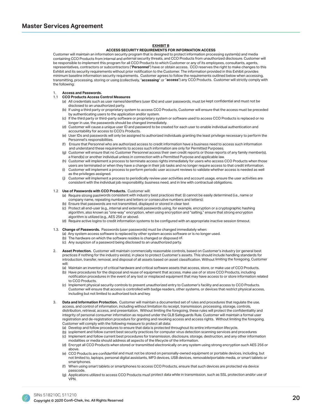#### **EXHIBIT B**

#### **ACCESS SECURITY REQUIREMENTS FOR INFORMATION ACCESS**

Customer will maintain an information security program that is designed to protect information processing system(s) and media containing CCO Products from internal and external security threats, and CCO Products from unauthorized disclosure. Customer will be responsible to implement this program for all CCO Products to which Customer or any of its employees, consultants, agents, representatives, contractors or subcontractors ("Personnel") have or obtain access. CCO reserves the right to make changes to this Exhibit and its security requirements without prior notification to the Customer. The information provided in this Exhibit provides minimum baseline information security requirements. Customer agrees to follow the requirements outlined below when accessing, transmitting, processing, storing or using (collectively, "accessing" or "access") any CCO Products. Customer will strictly comply with the following:

#### 1. Access and Passwords.

#### 1.1 CCO Products Access Control Measures

- (a) All credentials such as user names/identifiers (user IDs) and user passwords, must be kept confidential and must not be disclosed to an unauthorized party.
- (b) If using a third party or proprietary system to access CCO Products, Customer will ensure that the access must be preceded by authenticating users to the application and/or system.
- (c) If the third party or third-party software or proprietary system or software used to access CCO Products is replaced or no longer in use, the passwords should be changed immediately.
- (d) Customer will cause a unique user ID and password to be created for each user to enable individual authentication and accountability for access to CCO's Products.
- (e) User IDs and passwords will only be assigned to authorized individuals granting the least privilege necessary to perform the Personnel's responsibilities.
- Ensure that Personnel who are authorized access to credit information have a business need to access such information and understand these requirements to access such information are only for Permitted Purposes.
- (g) Customer will ensure that no Customer Personnel access their own credit reports or those reports of any family member(s), a friend(s) or another individual unless in connection with a Permitted Purpose and applicable law.
- (h) Customer will implement a process to terminate access rights immediately for users who access CCO Products when those users are terminated or when they have a change in their job tasks and no longer require access to that credit information.
- (i) Customer will implement a process to perform periodic user account reviews to validate whether access is needed as well as the privileges assigned.
- (j) Customer will implement a process to periodically review user activities and account usage, ensure the user activities are consistent with the individual job responsibility, business need, and in line with contractual obligations.

#### 1.2 Use of Passwords with CCO Products. Customer will:

- (a) Require strong passwords consistent with industry best practices that: (i) cannot be easily determined (i.e., name or company name, repeating numbers and letters or consecutive numbers and letters);
- (b) Ensure that passwords are not transmitted, displayed or stored in clear text
- Protect all end-user (e.g., internal and external) passwords using, for example, encryption or a cryptographic hashing algorithm, also known as "one-way" encryption, when using encryption and "salting," ensure that strong encryption algorithm is utilized (e.g., AES 256 or above).
- (d) Require active logins to credit information systems to be configured with an appropriate inactive session timeout.
- 1.3. **Change of Passwords.** Passwords (user passwords) must be changed immediately when:
	- (a) Any system access software is replaced by other system access software or is no longer used.
	- (b) The hardware on which the software resides is changed or disposed of.
	- (c) Any suspicion of a password being disclosed to an unauthorized party.
- Asset Protection. Customer will maintain commercially reasonable controls, based on Customer's industry (or general best practices if nothing for the industry exists), in place to protect Customer's assets. This should include handling standards for introduction, transfer, removal, and disposal of all assets based on asset classification. Without limiting the foregoing, Customer will:
	- (a) Maintain an inventory of critical hardware and critical software assets that access, store, or make use of CCO Products.
	- (b) Have procedures for the disposal and reuse of equipment that access, make use of or store CCO Products, including notification procedures in the event of any lost or misplaced equipment that may have access to or store information related to CCO Products.
	- (c) Implement physical security controls to prevent unauthorized entry to Customer's facility and access to CCO Products. Customer will ensure that access is controlled with badge readers, other systems, or devices that restrict physical access, including but not limited to authorized lock and key.
- Data and Information Protection. Customer will maintain a documented set of rules and procedures that regulate the use, access, and control of information, including without limitation its receipt, transmission, processing, storage, controls, distribution, retrieval, access, and presentation. Without limiting the foregoing, these rules will protect the confidentiality and integrity of personal consumer information as required under the GLB Safeguards Rule. Customer will maintain a formal user registration and de-registration procedure for granting and revoking access and access rights. Without limiting the foregoing, Customer will comply with the following measure to protect all data:
	- (a) Develop and follow procedures to ensure that data is protected throughout its entire information lifecycle.
	- (b) Implement and follow current best security practices for computer virus detection scanning services and procedures
	- (c) Implement and follow current best procedures for transmission, disclosure, storage, destruction, and any other information modalities or media should address all aspects of the lifecycle of the information.
	- (d) Encrypt all CCO Products when stored or transmitted electronically on any system using strong encryption such AES 256 or above.
	- (e) CCO Products are confidential and must not be stored on personally-owned equipment or portable devices, including, but not limited to, laptops, personal digital assistants, MP3 devices, USB devices, removable/portable media, or smart tablets or smartphones.
	- (f) When using smart tablets or smartphones to access CCO Products, ensure that such devices are protected via device passcode.
	- (g) Applications utilized to access CCO Products must protect data while in transmission, such as SSL protection and/or use of VPN.

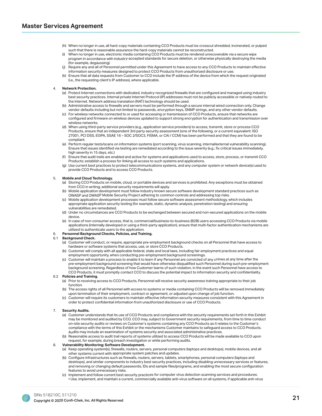- (h) When no longer in use, all hard-copy materials containing CCO Products must be crosscut shredded, incinerated, or pulped such that there is reasonable assurance the hard-copy materials cannot be reconstructed.
- When no longer in use, electronic media containing CCO Products must be rendered unrecoverable via a secure wipe program in accordance with industry-accepted standards for secure deletion, or otherwise physically destroying the media (for example, degaussing).
- (j) Require any and all of Personnel permitted under this Agreement to have access to any CCO Products to maintain effective information security measures designed to protect CCO Products from unauthorized disclosure or use.<br>(k) Ensure that all data requests from Customer to CCO include the IP address of the device from which the
- Ensure that all data requests from Customer to CCO include the IP address of the device from which the request originated (i.e., the requesting client's IP address), where applicable.

#### 4. **Network Protection.**

- (a) Protect Internet connections with dedicated, industry-recognized firewalls that are configured and managed using industry best security practices. Internal private Internet Protocol (IP) addresses must not be publicly accessible or natively routed to the Internet. Network address translation (NAT) technology should be used.
- (b) Administrative access to firewalls and servers must be performed through a secure internal wired connection only. Change vendor defaults including but not limited to passwords, encryption keys, SNMP strings, and any other vendor defaults.
- (c) For wireless networks connected to or used for accessing or transmission of CCO Products, ensure that networks are configured and firmware on wireless devices updated to support strong encryption for authentication and transmission over wireless networks.
- (d) When using third-party service providers (e.g., application service providers) to access, transmit, store or process CCO Products, ensure that an independent 3rd party security assessment (one of the following, or a current equivalent: ISO 27001, PCI DSS, EI3PA, SSAE 16 - SOC 2/SOC3, FISMA, or CAI / CCM) has been performed and that they are found to be compliant.
- (e) Perform regular tests/scans on information systems (port scanning, virus scanning, internal/external vulnerability scanning). Ensure that issues identified via testing are remediated according to the issue severity (e.g., fix critical issues immediately, high severity in 15 days, etc.)
- (f) Ensure that audit trails are enabled and active for systems and applications used to access, store, process, or transmit CCO Products; establish a process for linking all access to such systems and applications.
- (g) Use current best practices to protect telecommunications systems, and any computer system or network device(s) used to provide CCO Products and to access CCO Products.

#### 5. **Mobile and Cloud Technology.**

- (a) Storing CCO Products on mobile, cloud, or portable devices and services is prohibited. Any exceptions must be obtained from CCO in writing; additional security requirements will apply.
- (b) Mobile application development must follow industry known secure software development standard practices such as OWASP and OWASP Mobile Security Project adhering to common controls and addressing top risks.
- (c) Mobile application development processes must follow secure software assessment methodology, which includes appropriate application security testing (for example, static, dynamic analysis, penetration testing) and ensuring vulnerabilities are remediated.
- (d) Under no circumstances are CCO Products to be exchanged between secured and non-secured applications on the mobile device.
- (e) In case of non-consumer access, that is, commercial/business-to-business (B2B) users accessing CCO Products via mobile applications (internally developed or using a third-party application), ensure that multi-factor authentication mechanisms are utilized to authenticate users to the application.

#### **Personnel Background Checks, Policies, and Training.**

#### 6.1 **Background Check.**

- (a) Customer will conduct, or require, appropriate pre-employment background checks on all Personnel that have access to hardware or software systems that access, use, or store CCO Products.
- (b) Customer will comply with all applicable federal, state and local laws, including fair employment practices and equal employment opportunity, when conducting pre-employment background screenings.
- (c) Customer will maintain a process to enable it to learn if any Personnel are convicted of any crimes at any time after the pre-employment background screening that would have otherwise disqualified such Personnel during such pre-employment background screening. Regardless of how Customer learns of such violation, in the event such Personnel have access to CCO Products, it must promptly contact CCO to discuss the potential impact to information security and confidentiality.

#### 6.2 **Policies and Training.**

- (a) Prior to receiving access to CCO Products, Personnel will receive security awareness training appropriate to their job function.
- (b) The access rights of all Personnel with access to systems or media containing CCO Products will be removed immediately upon termination of their employment, contract or agreement, or adjusted upon change of job function.
- (c) Customer will require its customers to maintain effective information security measures consistent with this Agreement in order to protect confidential information from unauthorized disclosure or use of CCO Products.

#### 7. **Security Audits.**

- (a) Customer understands that its use of CCO Products and compliance with the security requirements set forth in this Exhibit may be monitored and audited by CCO. CCO may, subject to Government security requirements, from time to time conduct on-site security audits or reviews on Customer's systems containing any CCO Products as it relates to the Customer's compliance with the terms of this Exhibit or the mechanisms Customer maintains to safeguard access to CCO Products. Audits may include an examination of systems security and associated administrative practices.
- (b) Reasonable access to audit trail reports of systems utilized to access CCO Products will be made available to CCO upon request, for example, during breach investigation or while performing audits.

#### 8. **Vulnerability Monitoring; Software Development.**

- (a) Keep operating system(s), firewalls, routers, servers, personal computers (laptops and desktops), mobile devices, and all other systems current with appropriate system patches and updates.
- (b) Configure infrastructures such as firewalls, routers, servers, tablets, smartphones, personal computers (laptops and desktops), and similar components to industry best security practices, including disabling unnecessary services or features, and removing or changing default passwords, IDs and sample files/programs, and enabling the most secure configuration features to avoid unnecessary risks.
- (c) Implement and follow current best security practices for computer virus detection scanning services and procedures: • Use, implement, and maintain a current, commercially available anti-virus software on all systems, if applicable anti-virus

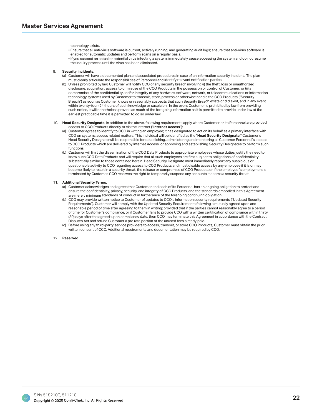technology exists.

- . Ensure that all anti-virus software is current, actively running, and generating audit logs; ensure that anti-virus software is enabled for automatic updates and perform scans on a regular basis.
- If you suspect an actual or potential virus infecting a system, immediately cease accessing the system and do not resume the inquiry process until the virus has been eliminated.

#### 9. **Security Incidents.**

- (a) Customer will have a documented plan and associated procedures in case of an information security incident. The plan must clearly articulate the responsibilities of Personnel and identify relevant notification parties.
- (b) Unless prohibited by law, Customer will notify CCO of any security breach involving (i) the theft, loss or unauthorized disclosure, acquisition, access to or misuse of the CCO Products in the possession or control of Customer; or (ii) a compromise of the confidentiality and/or integrity of any hardware, software, network, or telecommunications or information technology systems used by Customer to transmit, store, process or otherwise handle the CCO Products ("Security Breach") as soon as Customer knows or reasonably suspects that such Security Breach exists or did exist, and in any event within twenty-four (24) hours of such knowledge or suspicion. In the event Customer is prohibited by law from providing such notice, it will nonetheless provide as much of the foregoing information as it is permitted to provide under law at the earliest practicable time it is permitted to do so under law.
- 10. Head Security Designate. In addition to the above, following requirements apply where Customer or its Personnel are provided access to CCO Products directly or via the Internet ("Internet Access"):
	- (a) Customer agrees to identify to CCO in writing an employee; it has designated to act on its behalf as a primary interface with CCO on systems access related matters. This individual will be identified as the "Head Security Designate." Customer's Head Security Designate will be responsible for establishing, administering and monitoring all Customer Personnel's access to CCO Products which are delivered by Internet Access, or approving and establishing Security Designates to perform such functions
- Customer will limit the dissemination of the CCO Data Products to appropriate employees whose duties justify the need to know such CCO Data Products and will require that all such employees are first subject to obligations of confidentiality substantially similar to those contained herein. Head Security Designate must immediately report any suspicious or questionable activity to CCO regarding access to CCO Products and must disable access by any employee if it is or may become likely to result in a security threat, the release or compromise of CCO Products or if the employee 's employment is terminated by Customer. CCO reserves the right to temporarily suspend any accounts it deems a security threat.

#### 11. Additional Security Terms.

- (a) Customer acknowledges and agrees that Customer and each of its Personnel has an ongoing obligation to protect and ensure the confidentiality, privacy, security, and integrity of CCO Products, and the standards embodied in this Agreement are merely minimum standards of conduct in furtherance of the foregoing continuing obligation.
- (b) CCO may provide written notice to Customer of updates to CCO's information security requirements ("Updated Security Requirements"). Customer will comply with the Updated Security Requirements following a mutually agreed upon and reasonable period of time after agreeing to them in writing; provided that if the parties cannot reasonably agree to a period of time for Customer's compliance, or if Customer fails to provide CCO with a written certification of compliance within thirty (30) days after the agreed-upon compliance date, then CCO may terminate this Agreement in accordance with the Contract Disputes Act and refund Customer a pro rata portion of the unused fees already paid.
- (c) Before using any third-party service providers to access, transmit, or store CCO Products, Customer must obtain the prior written consent of CCO. Additional requirements and documentation may be required by CCO.

#### 12. **Reserved**